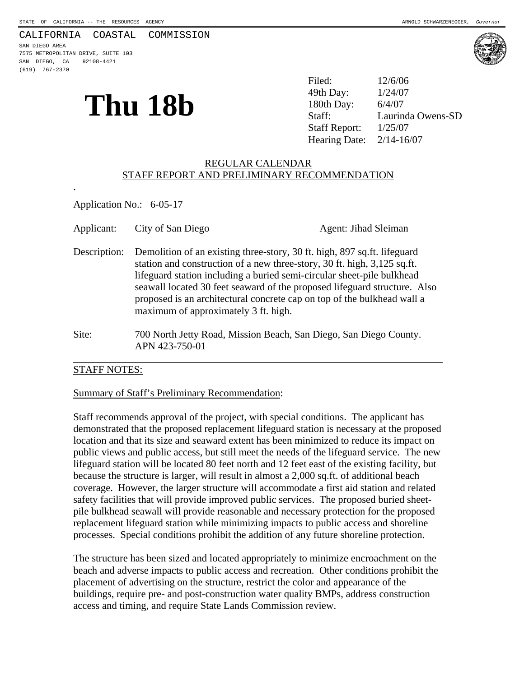#### CALIFORNIA COASTAL COMMISSION

SAN DIEGO AREA 7575 METROPOLITAN DRIVE, SUITE 103 SAN DIEGO, CA 92108-4421 (619) 767-2370

.



**Thu 18b** <sup>49th Day:  $\frac{1/24/07}{180th$  Day:  $\frac{6/4/07}{180th}$  Day:  $\frac{6/4/07}{180th}$ </sup> 49th Day: Laurinda Owens-SD Staff Report: 1/25/07 Hearing Date: 2/14-16/07

## REGULAR CALENDAR STAFF REPORT AND PRELIMINARY RECOMMENDATION

Application No.: 6-05-17

| Applicant:   | City of San Diego                                                                                                                                                                                                                                                                                                                                                                                                              | Agent: Jihad Sleiman |
|--------------|--------------------------------------------------------------------------------------------------------------------------------------------------------------------------------------------------------------------------------------------------------------------------------------------------------------------------------------------------------------------------------------------------------------------------------|----------------------|
| Description: | Demolition of an existing three-story, 30 ft. high, 897 sq.ft. lifeguard<br>station and construction of a new three-story, 30 ft. high, 3,125 sq.ft.<br>lifeguard station including a buried semi-circular sheet-pile bulkhead<br>seawall located 30 feet seaward of the proposed lifeguard structure. Also<br>proposed is an architectural concrete cap on top of the bulkhead wall a<br>maximum of approximately 3 ft. high. |                      |
| Site:        | 700 North Jetty Road, Mission Beach, San Diego, San Diego County.<br>APN 423-750-01                                                                                                                                                                                                                                                                                                                                            |                      |

#### STAFF NOTES:

#### Summary of Staff's Preliminary Recommendation:

Staff recommends approval of the project, with special conditions. The applicant has demonstrated that the proposed replacement lifeguard station is necessary at the proposed location and that its size and seaward extent has been minimized to reduce its impact on public views and public access, but still meet the needs of the lifeguard service. The new lifeguard station will be located 80 feet north and 12 feet east of the existing facility, but because the structure is larger, will result in almost a 2,000 sq.ft. of additional beach coverage. However, the larger structure will accommodate a first aid station and related safety facilities that will provide improved public services. The proposed buried sheetpile bulkhead seawall will provide reasonable and necessary protection for the proposed replacement lifeguard station while minimizing impacts to public access and shoreline processes. Special conditions prohibit the addition of any future shoreline protection.

The structure has been sized and located appropriately to minimize encroachment on the beach and adverse impacts to public access and recreation. Other conditions prohibit the placement of advertising on the structure, restrict the color and appearance of the buildings, require pre- and post-construction water quality BMPs, address construction access and timing, and require State Lands Commission review.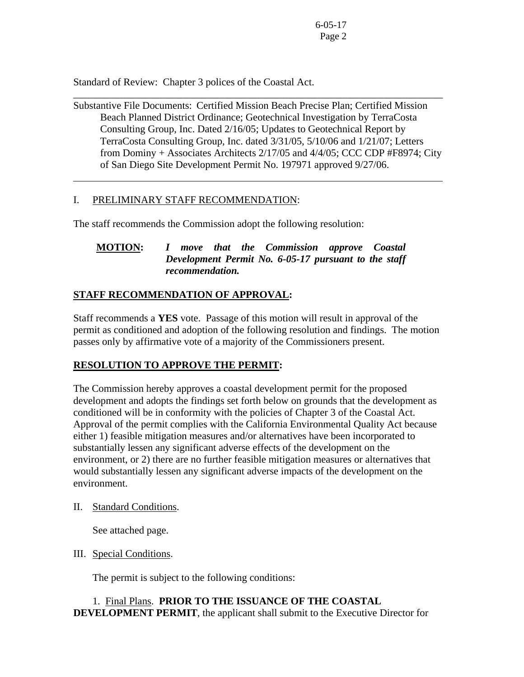Standard of Review: Chapter 3 polices of the Coastal Act.

Substantive File Documents: Certified Mission Beach Precise Plan; Certified Mission Beach Planned District Ordinance; Geotechnical Investigation by TerraCosta Consulting Group, Inc. Dated 2/16/05; Updates to Geotechnical Report by TerraCosta Consulting Group, Inc. dated 3/31/05, 5/10/06 and 1/21/07; Letters from Dominy + Associates Architects 2/17/05 and 4/4/05; CCC CDP #F8974; City of San Diego Site Development Permit No. 197971 approved 9/27/06.

\_\_\_\_\_\_\_\_\_\_\_\_\_\_\_\_\_\_\_\_\_\_\_\_\_\_\_\_\_\_\_\_\_\_\_\_\_\_\_\_\_\_\_\_\_\_\_\_\_\_\_\_\_\_\_\_\_\_\_\_\_\_\_\_\_\_\_\_\_\_\_\_

# I. PRELIMINARY STAFF RECOMMENDATION:

 $\overline{a}$ 

The staff recommends the Commission adopt the following resolution:

# **MOTION:** *I move that the Commission approve Coastal Development Permit No. 6-05-17 pursuant to the staff recommendation.*

# **STAFF RECOMMENDATION OF APPROVAL:**

Staff recommends a **YES** vote. Passage of this motion will result in approval of the permit as conditioned and adoption of the following resolution and findings. The motion passes only by affirmative vote of a majority of the Commissioners present.

## **RESOLUTION TO APPROVE THE PERMIT:**

The Commission hereby approves a coastal development permit for the proposed development and adopts the findings set forth below on grounds that the development as conditioned will be in conformity with the policies of Chapter 3 of the Coastal Act. Approval of the permit complies with the California Environmental Quality Act because either 1) feasible mitigation measures and/or alternatives have been incorporated to substantially lessen any significant adverse effects of the development on the environment, or 2) there are no further feasible mitigation measures or alternatives that would substantially lessen any significant adverse impacts of the development on the environment.

## II. Standard Conditions.

See attached page.

## III. Special Conditions.

The permit is subject to the following conditions:

# 1. Final Plans. **PRIOR TO THE ISSUANCE OF THE COASTAL DEVELOPMENT PERMIT**, the applicant shall submit to the Executive Director for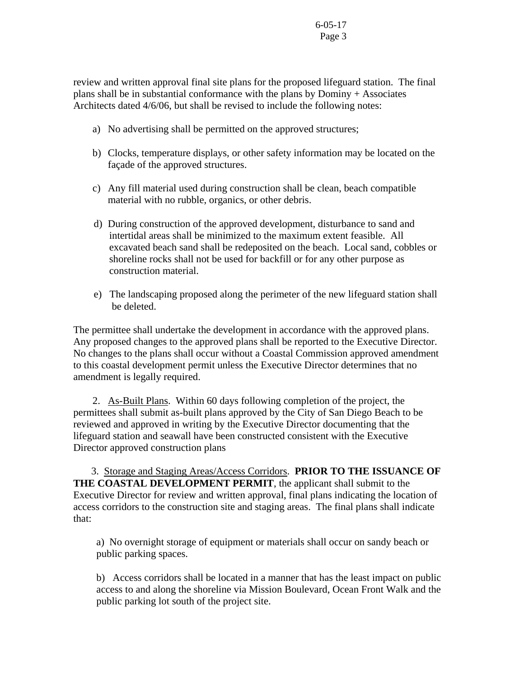review and written approval final site plans for the proposed lifeguard station. The final plans shall be in substantial conformance with the plans by Dominy + Associates Architects dated 4/6/06, but shall be revised to include the following notes:

- a) No advertising shall be permitted on the approved structures;
- b) Clocks, temperature displays, or other safety information may be located on the façade of the approved structures.
- c) Any fill material used during construction shall be clean, beach compatible material with no rubble, organics, or other debris.
- d) During construction of the approved development, disturbance to sand and intertidal areas shall be minimized to the maximum extent feasible. All excavated beach sand shall be redeposited on the beach. Local sand, cobbles or shoreline rocks shall not be used for backfill or for any other purpose as construction material.
- e) The landscaping proposed along the perimeter of the new lifeguard station shall be deleted.

The permittee shall undertake the development in accordance with the approved plans. Any proposed changes to the approved plans shall be reported to the Executive Director. No changes to the plans shall occur without a Coastal Commission approved amendment to this coastal development permit unless the Executive Director determines that no amendment is legally required.

 2. As-Built Plans. Within 60 days following completion of the project, the permittees shall submit as-built plans approved by the City of San Diego Beach to be reviewed and approved in writing by the Executive Director documenting that the lifeguard station and seawall have been constructed consistent with the Executive Director approved construction plans

 3. Storage and Staging Areas/Access Corridors. **PRIOR TO THE ISSUANCE OF THE COASTAL DEVELOPMENT PERMIT**, the applicant shall submit to the Executive Director for review and written approval, final plans indicating the location of access corridors to the construction site and staging areas. The final plans shall indicate that:

 a) No overnight storage of equipment or materials shall occur on sandy beach or public parking spaces.

 b) Access corridors shall be located in a manner that has the least impact on public access to and along the shoreline via Mission Boulevard, Ocean Front Walk and the public parking lot south of the project site.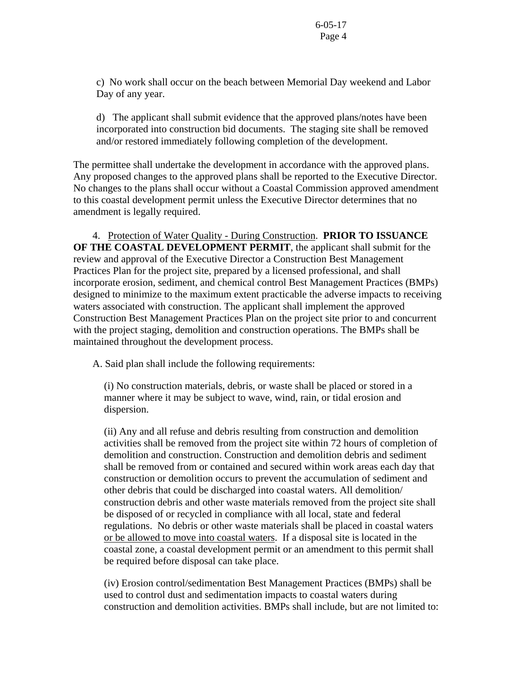c) No work shall occur on the beach between Memorial Day weekend and Labor Day of any year.

 d) The applicant shall submit evidence that the approved plans/notes have been incorporated into construction bid documents. The staging site shall be removed and/or restored immediately following completion of the development.

The permittee shall undertake the development in accordance with the approved plans. Any proposed changes to the approved plans shall be reported to the Executive Director. No changes to the plans shall occur without a Coastal Commission approved amendment to this coastal development permit unless the Executive Director determines that no amendment is legally required.

 4. Protection of Water Quality - During Construction. **PRIOR TO ISSUANCE OF THE COASTAL DEVELOPMENT PERMIT**, the applicant shall submit for the review and approval of the Executive Director a Construction Best Management Practices Plan for the project site, prepared by a licensed professional, and shall incorporate erosion, sediment, and chemical control Best Management Practices (BMPs) designed to minimize to the maximum extent practicable the adverse impacts to receiving waters associated with construction. The applicant shall implement the approved Construction Best Management Practices Plan on the project site prior to and concurrent with the project staging, demolition and construction operations. The BMPs shall be maintained throughout the development process.

A. Said plan shall include the following requirements:

(i) No construction materials, debris, or waste shall be placed or stored in a manner where it may be subject to wave, wind, rain, or tidal erosion and dispersion.

(ii) Any and all refuse and debris resulting from construction and demolition activities shall be removed from the project site within 72 hours of completion of demolition and construction. Construction and demolition debris and sediment shall be removed from or contained and secured within work areas each day that construction or demolition occurs to prevent the accumulation of sediment and other debris that could be discharged into coastal waters. All demolition/ construction debris and other waste materials removed from the project site shall be disposed of or recycled in compliance with all local, state and federal regulations. No debris or other waste materials shall be placed in coastal waters or be allowed to move into coastal waters. If a disposal site is located in the coastal zone, a coastal development permit or an amendment to this permit shall be required before disposal can take place.

(iv) Erosion control/sedimentation Best Management Practices (BMPs) shall be used to control dust and sedimentation impacts to coastal waters during construction and demolition activities. BMPs shall include, but are not limited to: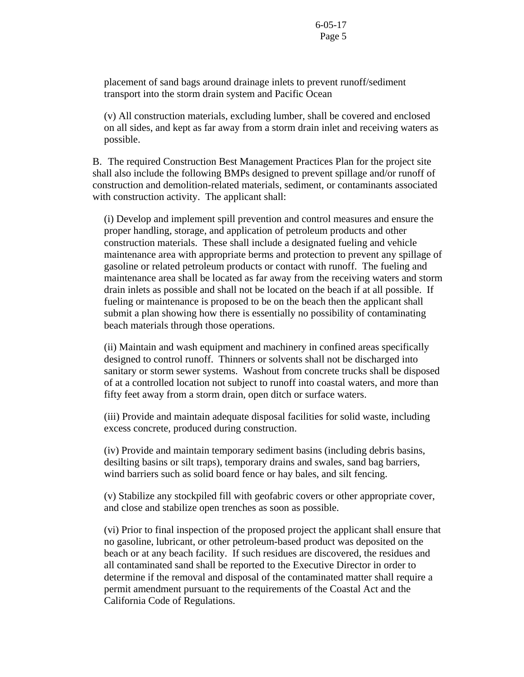placement of sand bags around drainage inlets to prevent runoff/sediment transport into the storm drain system and Pacific Ocean

(v) All construction materials, excluding lumber, shall be covered and enclosed on all sides, and kept as far away from a storm drain inlet and receiving waters as possible.

 B. The required Construction Best Management Practices Plan for the project site shall also include the following BMPs designed to prevent spillage and/or runoff of construction and demolition-related materials, sediment, or contaminants associated with construction activity. The applicant shall:

(i) Develop and implement spill prevention and control measures and ensure the proper handling, storage, and application of petroleum products and other construction materials. These shall include a designated fueling and vehicle maintenance area with appropriate berms and protection to prevent any spillage of gasoline or related petroleum products or contact with runoff. The fueling and maintenance area shall be located as far away from the receiving waters and storm drain inlets as possible and shall not be located on the beach if at all possible. If fueling or maintenance is proposed to be on the beach then the applicant shall submit a plan showing how there is essentially no possibility of contaminating beach materials through those operations.

(ii) Maintain and wash equipment and machinery in confined areas specifically designed to control runoff. Thinners or solvents shall not be discharged into sanitary or storm sewer systems. Washout from concrete trucks shall be disposed of at a controlled location not subject to runoff into coastal waters, and more than fifty feet away from a storm drain, open ditch or surface waters.

(iii) Provide and maintain adequate disposal facilities for solid waste, including excess concrete, produced during construction.

(iv) Provide and maintain temporary sediment basins (including debris basins, desilting basins or silt traps), temporary drains and swales, sand bag barriers, wind barriers such as solid board fence or hay bales, and silt fencing.

(v) Stabilize any stockpiled fill with geofabric covers or other appropriate cover, and close and stabilize open trenches as soon as possible.

(vi) Prior to final inspection of the proposed project the applicant shall ensure that no gasoline, lubricant, or other petroleum-based product was deposited on the beach or at any beach facility. If such residues are discovered, the residues and all contaminated sand shall be reported to the Executive Director in order to determine if the removal and disposal of the contaminated matter shall require a permit amendment pursuant to the requirements of the Coastal Act and the California Code of Regulations.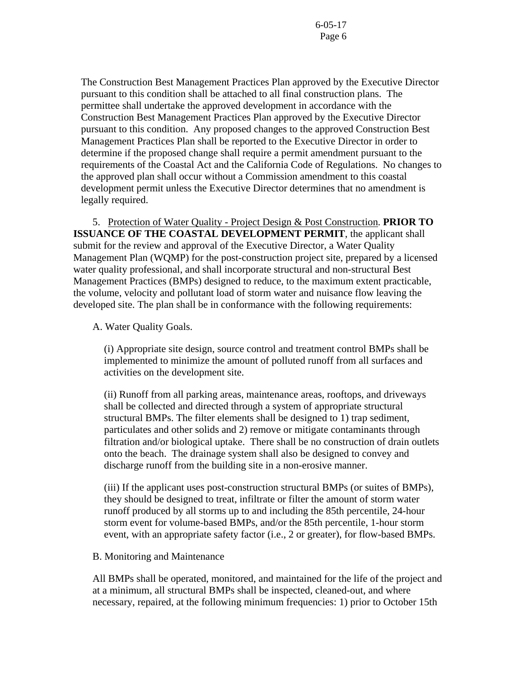The Construction Best Management Practices Plan approved by the Executive Director pursuant to this condition shall be attached to all final construction plans. The permittee shall undertake the approved development in accordance with the Construction Best Management Practices Plan approved by the Executive Director pursuant to this condition. Any proposed changes to the approved Construction Best Management Practices Plan shall be reported to the Executive Director in order to determine if the proposed change shall require a permit amendment pursuant to the requirements of the Coastal Act and the California Code of Regulations. No changes to the approved plan shall occur without a Commission amendment to this coastal development permit unless the Executive Director determines that no amendment is legally required.

 5. Protection of Water Quality - Project Design & Post Construction. **PRIOR TO ISSUANCE OF THE COASTAL DEVELOPMENT PERMIT**, the applicant shall submit for the review and approval of the Executive Director, a Water Quality Management Plan (WQMP) for the post-construction project site, prepared by a licensed water quality professional, and shall incorporate structural and non-structural Best Management Practices (BMPs) designed to reduce, to the maximum extent practicable, the volume, velocity and pollutant load of storm water and nuisance flow leaving the developed site. The plan shall be in conformance with the following requirements:

A. Water Quality Goals.

(i) Appropriate site design, source control and treatment control BMPs shall be implemented to minimize the amount of polluted runoff from all surfaces and activities on the development site.

(ii) Runoff from all parking areas, maintenance areas, rooftops, and driveways shall be collected and directed through a system of appropriate structural structural BMPs. The filter elements shall be designed to 1) trap sediment, particulates and other solids and 2) remove or mitigate contaminants through filtration and/or biological uptake. There shall be no construction of drain outlets onto the beach. The drainage system shall also be designed to convey and discharge runoff from the building site in a non-erosive manner.

(iii) If the applicant uses post-construction structural BMPs (or suites of BMPs), they should be designed to treat, infiltrate or filter the amount of storm water runoff produced by all storms up to and including the 85th percentile, 24-hour storm event for volume-based BMPs, and/or the 85th percentile, 1-hour storm event, with an appropriate safety factor (i.e., 2 or greater), for flow-based BMPs.

B. Monitoring and Maintenance

All BMPs shall be operated, monitored, and maintained for the life of the project and at a minimum, all structural BMPs shall be inspected, cleaned-out, and where necessary, repaired, at the following minimum frequencies: 1) prior to October 15th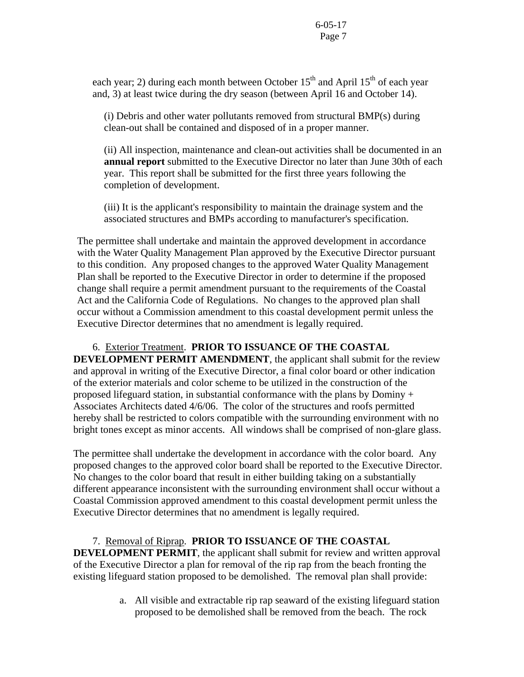each year; 2) during each month between October  $15<sup>th</sup>$  and April  $15<sup>th</sup>$  of each year and, 3) at least twice during the dry season (between April 16 and October 14).

(i) Debris and other water pollutants removed from structural BMP(s) during clean-out shall be contained and disposed of in a proper manner.

(ii) All inspection, maintenance and clean-out activities shall be documented in an **annual report** submitted to the Executive Director no later than June 30th of each year. This report shall be submitted for the first three years following the completion of development.

(iii) It is the applicant's responsibility to maintain the drainage system and the associated structures and BMPs according to manufacturer's specification.

The permittee shall undertake and maintain the approved development in accordance with the Water Quality Management Plan approved by the Executive Director pursuant to this condition. Any proposed changes to the approved Water Quality Management Plan shall be reported to the Executive Director in order to determine if the proposed change shall require a permit amendment pursuant to the requirements of the Coastal Act and the California Code of Regulations. No changes to the approved plan shall occur without a Commission amendment to this coastal development permit unless the Executive Director determines that no amendment is legally required.

 6. Exterior Treatment. **PRIOR TO ISSUANCE OF THE COASTAL DEVELOPMENT PERMIT AMENDMENT**, the applicant shall submit for the review and approval in writing of the Executive Director, a final color board or other indication of the exterior materials and color scheme to be utilized in the construction of the proposed lifeguard station, in substantial conformance with the plans by Dominy + Associates Architects dated 4/6/06. The color of the structures and roofs permitted hereby shall be restricted to colors compatible with the surrounding environment with no bright tones except as minor accents. All windows shall be comprised of non-glare glass.

The permittee shall undertake the development in accordance with the color board. Any proposed changes to the approved color board shall be reported to the Executive Director. No changes to the color board that result in either building taking on a substantially different appearance inconsistent with the surrounding environment shall occur without a Coastal Commission approved amendment to this coastal development permit unless the Executive Director determines that no amendment is legally required.

## 7. Removal of Riprap. **PRIOR TO ISSUANCE OF THE COASTAL**

**DEVELOPMENT PERMIT**, the applicant shall submit for review and written approval of the Executive Director a plan for removal of the rip rap from the beach fronting the existing lifeguard station proposed to be demolished. The removal plan shall provide:

> a. All visible and extractable rip rap seaward of the existing lifeguard station proposed to be demolished shall be removed from the beach. The rock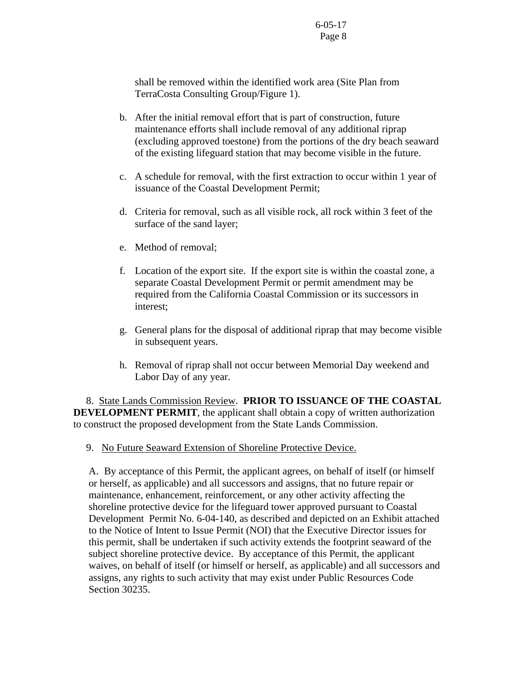shall be removed within the identified work area (Site Plan from TerraCosta Consulting Group/Figure 1).

- b. After the initial removal effort that is part of construction, future maintenance efforts shall include removal of any additional riprap (excluding approved toestone) from the portions of the dry beach seaward of the existing lifeguard station that may become visible in the future.
- c. A schedule for removal, with the first extraction to occur within 1 year of issuance of the Coastal Development Permit;
- d. Criteria for removal, such as all visible rock, all rock within 3 feet of the surface of the sand layer;
- e. Method of removal;
- f. Location of the export site. If the export site is within the coastal zone, a separate Coastal Development Permit or permit amendment may be required from the California Coastal Commission or its successors in interest;
- g. General plans for the disposal of additional riprap that may become visible in subsequent years.
- h. Removal of riprap shall not occur between Memorial Day weekend and Labor Day of any year.

 8. State Lands Commission Review. **PRIOR TO ISSUANCE OF THE COASTAL DEVELOPMENT PERMIT**, the applicant shall obtain a copy of written authorization to construct the proposed development from the State Lands Commission.

9. No Future Seaward Extension of Shoreline Protective Device.

A. By acceptance of this Permit, the applicant agrees, on behalf of itself (or himself or herself, as applicable) and all successors and assigns, that no future repair or maintenance, enhancement, reinforcement, or any other activity affecting the shoreline protective device for the lifeguard tower approved pursuant to Coastal Development Permit No. 6-04-140, as described and depicted on an Exhibit attached to the Notice of Intent to Issue Permit (NOI) that the Executive Director issues for this permit, shall be undertaken if such activity extends the footprint seaward of the subject shoreline protective device. By acceptance of this Permit, the applicant waives, on behalf of itself (or himself or herself, as applicable) and all successors and assigns, any rights to such activity that may exist under Public Resources Code Section 30235.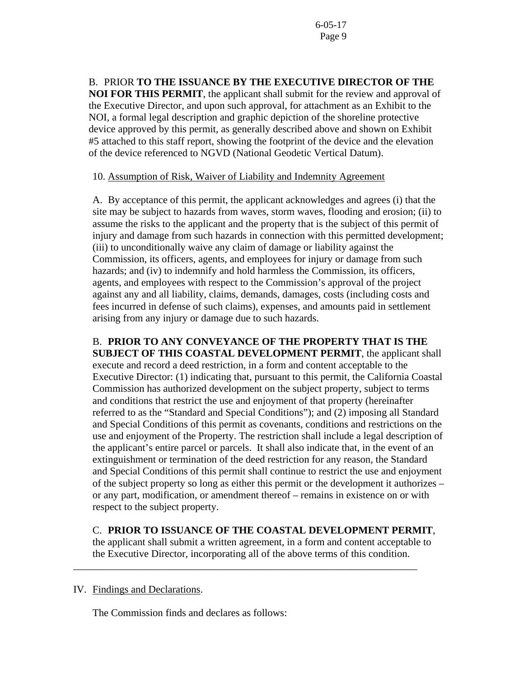B. PRIOR **TO THE ISSUANCE BY THE EXECUTIVE DIRECTOR OF THE NOI FOR THIS PERMIT**, the applicant shall submit for the review and approval of the Executive Director, and upon such approval, for attachment as an Exhibit to the NOI, a formal legal description and graphic depiction of the shoreline protective device approved by this permit, as generally described above and shown on Exhibit #5 attached to this staff report, showing the footprint of the device and the elevation of the device referenced to NGVD (National Geodetic Vertical Datum).

## 10. Assumption of Risk, Waiver of Liability and Indemnity Agreement

A. By acceptance of this permit, the applicant acknowledges and agrees (i) that the site may be subject to hazards from waves, storm waves, flooding and erosion; (ii) to assume the risks to the applicant and the property that is the subject of this permit of injury and damage from such hazards in connection with this permitted development; (iii) to unconditionally waive any claim of damage or liability against the Commission, its officers, agents, and employees for injury or damage from such hazards; and (iv) to indemnify and hold harmless the Commission, its officers, agents, and employees with respect to the Commission's approval of the project against any and all liability, claims, demands, damages, costs (including costs and fees incurred in defense of such claims), expenses, and amounts paid in settlement arising from any injury or damage due to such hazards.

B. **PRIOR TO ANY CONVEYANCE OF THE PROPERTY THAT IS THE SUBJECT OF THIS COASTAL DEVELOPMENT PERMIT**, the applicant shall execute and record a deed restriction, in a form and content acceptable to the Executive Director: (1) indicating that, pursuant to this permit, the California Coastal Commission has authorized development on the subject property, subject to terms and conditions that restrict the use and enjoyment of that property (hereinafter referred to as the "Standard and Special Conditions"); and (2) imposing all Standard and Special Conditions of this permit as covenants, conditions and restrictions on the use and enjoyment of the Property. The restriction shall include a legal description of the applicant's entire parcel or parcels. It shall also indicate that, in the event of an extinguishment or termination of the deed restriction for any reason, the Standard and Special Conditions of this permit shall continue to restrict the use and enjoyment of the subject property so long as either this permit or the development it authorizes – or any part, modification, or amendment thereof – remains in existence on or with respect to the subject property.

C. **PRIOR TO ISSUANCE OF THE COASTAL DEVELOPMENT PERMIT**, the applicant shall submit a written agreement, in a form and content acceptable to

the Executive Director, incorporating all of the above terms of this condition.

\_\_\_\_\_\_\_\_\_\_\_\_\_\_\_\_\_\_\_\_\_\_\_\_\_\_\_\_\_\_\_\_\_\_\_\_\_\_\_\_\_\_\_\_\_\_\_\_\_\_\_\_\_\_\_\_\_\_\_\_\_\_\_\_\_\_\_

#### IV. Findings and Declarations.

The Commission finds and declares as follows: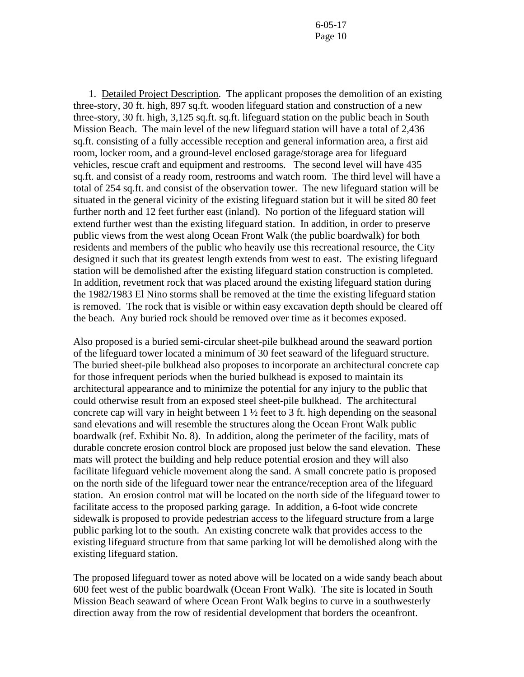1. Detailed Project Description. The applicant proposes the demolition of an existing three-story, 30 ft. high, 897 sq.ft. wooden lifeguard station and construction of a new three-story, 30 ft. high, 3,125 sq.ft. sq.ft. lifeguard station on the public beach in South Mission Beach. The main level of the new lifeguard station will have a total of 2,436 sq.ft. consisting of a fully accessible reception and general information area, a first aid room, locker room, and a ground-level enclosed garage/storage area for lifeguard vehicles, rescue craft and equipment and restrooms. The second level will have 435 sq.ft. and consist of a ready room, restrooms and watch room. The third level will have a total of 254 sq.ft. and consist of the observation tower. The new lifeguard station will be situated in the general vicinity of the existing lifeguard station but it will be sited 80 feet further north and 12 feet further east (inland). No portion of the lifeguard station will extend further west than the existing lifeguard station. In addition, in order to preserve public views from the west along Ocean Front Walk (the public boardwalk) for both residents and members of the public who heavily use this recreational resource, the City designed it such that its greatest length extends from west to east. The existing lifeguard station will be demolished after the existing lifeguard station construction is completed. In addition, revetment rock that was placed around the existing lifeguard station during the 1982/1983 El Nino storms shall be removed at the time the existing lifeguard station is removed. The rock that is visible or within easy excavation depth should be cleared off the beach. Any buried rock should be removed over time as it becomes exposed.

Also proposed is a buried semi-circular sheet-pile bulkhead around the seaward portion of the lifeguard tower located a minimum of 30 feet seaward of the lifeguard structure. The buried sheet-pile bulkhead also proposes to incorporate an architectural concrete cap for those infrequent periods when the buried bulkhead is exposed to maintain its architectural appearance and to minimize the potential for any injury to the public that could otherwise result from an exposed steel sheet-pile bulkhead. The architectural concrete cap will vary in height between  $1 \frac{1}{2}$  feet to 3 ft. high depending on the seasonal sand elevations and will resemble the structures along the Ocean Front Walk public boardwalk (ref. Exhibit No. 8). In addition, along the perimeter of the facility, mats of durable concrete erosion control block are proposed just below the sand elevation. These mats will protect the building and help reduce potential erosion and they will also facilitate lifeguard vehicle movement along the sand. A small concrete patio is proposed on the north side of the lifeguard tower near the entrance/reception area of the lifeguard station. An erosion control mat will be located on the north side of the lifeguard tower to facilitate access to the proposed parking garage. In addition, a 6-foot wide concrete sidewalk is proposed to provide pedestrian access to the lifeguard structure from a large public parking lot to the south. An existing concrete walk that provides access to the existing lifeguard structure from that same parking lot will be demolished along with the existing lifeguard station.

The proposed lifeguard tower as noted above will be located on a wide sandy beach about 600 feet west of the public boardwalk (Ocean Front Walk). The site is located in South Mission Beach seaward of where Ocean Front Walk begins to curve in a southwesterly direction away from the row of residential development that borders the oceanfront.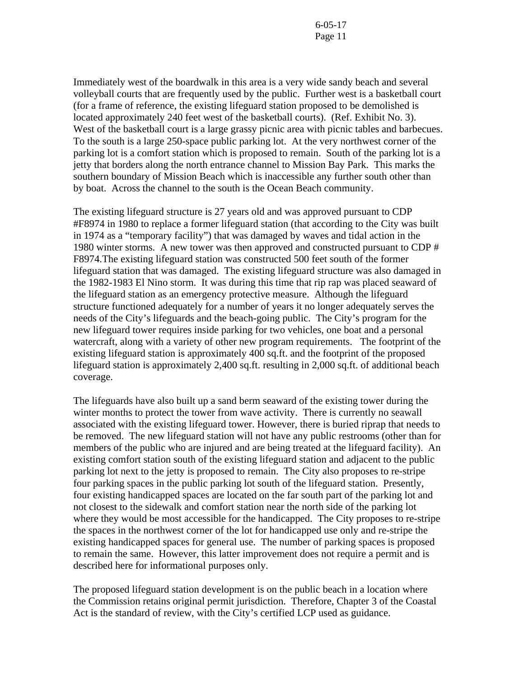Immediately west of the boardwalk in this area is a very wide sandy beach and several volleyball courts that are frequently used by the public. Further west is a basketball court (for a frame of reference, the existing lifeguard station proposed to be demolished is located approximately 240 feet west of the basketball courts). (Ref. Exhibit No. 3). West of the basketball court is a large grassy picnic area with picnic tables and barbecues. To the south is a large 250-space public parking lot. At the very northwest corner of the parking lot is a comfort station which is proposed to remain. South of the parking lot is a jetty that borders along the north entrance channel to Mission Bay Park. This marks the southern boundary of Mission Beach which is inaccessible any further south other than by boat. Across the channel to the south is the Ocean Beach community.

The existing lifeguard structure is 27 years old and was approved pursuant to CDP #F8974 in 1980 to replace a former lifeguard station (that according to the City was built in 1974 as a "temporary facility") that was damaged by waves and tidal action in the 1980 winter storms. A new tower was then approved and constructed pursuant to CDP # F8974.The existing lifeguard station was constructed 500 feet south of the former lifeguard station that was damaged. The existing lifeguard structure was also damaged in the 1982-1983 El Nino storm. It was during this time that rip rap was placed seaward of the lifeguard station as an emergency protective measure. Although the lifeguard structure functioned adequately for a number of years it no longer adequately serves the needs of the City's lifeguards and the beach-going public. The City's program for the new lifeguard tower requires inside parking for two vehicles, one boat and a personal watercraft, along with a variety of other new program requirements. The footprint of the existing lifeguard station is approximately 400 sq.ft. and the footprint of the proposed lifeguard station is approximately 2,400 sq.ft. resulting in 2,000 sq.ft. of additional beach coverage.

The lifeguards have also built up a sand berm seaward of the existing tower during the winter months to protect the tower from wave activity. There is currently no seawall associated with the existing lifeguard tower. However, there is buried riprap that needs to be removed. The new lifeguard station will not have any public restrooms (other than for members of the public who are injured and are being treated at the lifeguard facility). An existing comfort station south of the existing lifeguard station and adjacent to the public parking lot next to the jetty is proposed to remain. The City also proposes to re-stripe four parking spaces in the public parking lot south of the lifeguard station. Presently, four existing handicapped spaces are located on the far south part of the parking lot and not closest to the sidewalk and comfort station near the north side of the parking lot where they would be most accessible for the handicapped. The City proposes to re-stripe the spaces in the northwest corner of the lot for handicapped use only and re-stripe the existing handicapped spaces for general use. The number of parking spaces is proposed to remain the same. However, this latter improvement does not require a permit and is described here for informational purposes only.

The proposed lifeguard station development is on the public beach in a location where the Commission retains original permit jurisdiction. Therefore, Chapter 3 of the Coastal Act is the standard of review, with the City's certified LCP used as guidance.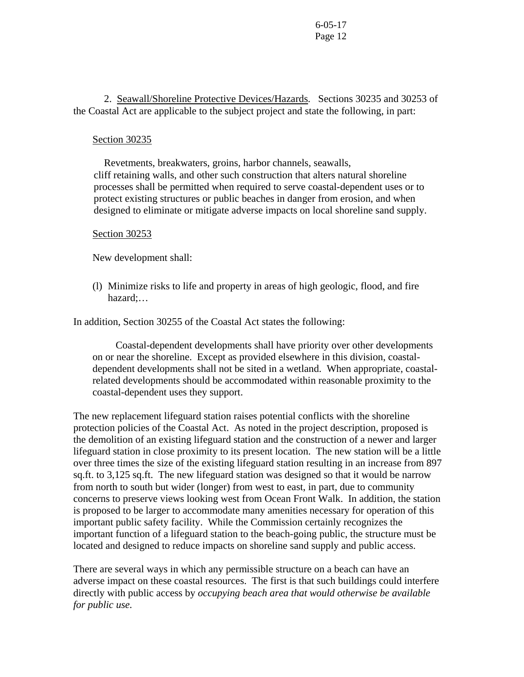2. Seawall/Shoreline Protective Devices/Hazards. Sections 30235 and 30253 of the Coastal Act are applicable to the subject project and state the following, in part:

#### Section 30235

 Revetments, breakwaters, groins, harbor channels, seawalls, cliff retaining walls, and other such construction that alters natural shoreline processes shall be permitted when required to serve coastal-dependent uses or to protect existing structures or public beaches in danger from erosion, and when designed to eliminate or mitigate adverse impacts on local shoreline sand supply.

#### Section 30253

New development shall:

(l) Minimize risks to life and property in areas of high geologic, flood, and fire hazard;…

In addition, Section 30255 of the Coastal Act states the following:

Coastal-dependent developments shall have priority over other developments on or near the shoreline. Except as provided elsewhere in this division, coastaldependent developments shall not be sited in a wetland. When appropriate, coastalrelated developments should be accommodated within reasonable proximity to the coastal-dependent uses they support.

The new replacement lifeguard station raises potential conflicts with the shoreline protection policies of the Coastal Act. As noted in the project description, proposed is the demolition of an existing lifeguard station and the construction of a newer and larger lifeguard station in close proximity to its present location. The new station will be a little over three times the size of the existing lifeguard station resulting in an increase from 897 sq.ft. to 3,125 sq.ft. The new lifeguard station was designed so that it would be narrow from north to south but wider (longer) from west to east, in part, due to community concerns to preserve views looking west from Ocean Front Walk. In addition, the station is proposed to be larger to accommodate many amenities necessary for operation of this important public safety facility. While the Commission certainly recognizes the important function of a lifeguard station to the beach-going public, the structure must be located and designed to reduce impacts on shoreline sand supply and public access.

There are several ways in which any permissible structure on a beach can have an adverse impact on these coastal resources. The first is that such buildings could interfere directly with public access by *occupying beach area that would otherwise be available for public use.*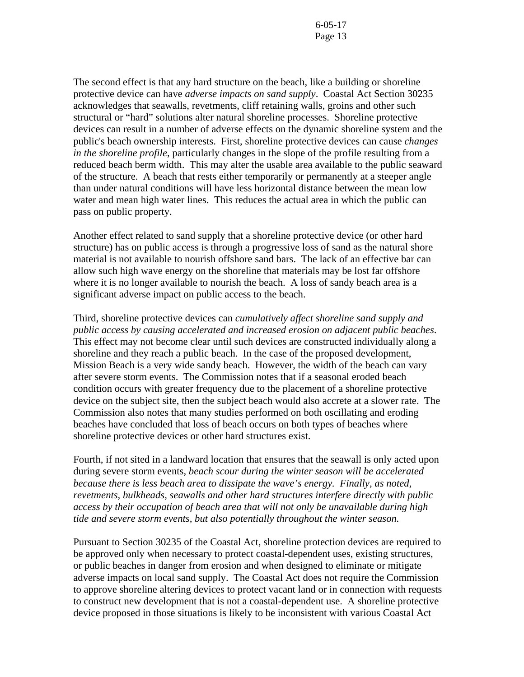The second effect is that any hard structure on the beach, like a building or shoreline protective device can have *adverse impacts on sand supply*. Coastal Act Section 30235 acknowledges that seawalls, revetments, cliff retaining walls, groins and other such structural or "hard" solutions alter natural shoreline processes. Shoreline protective devices can result in a number of adverse effects on the dynamic shoreline system and the public's beach ownership interests. First, shoreline protective devices can cause *changes in the shoreline profile*, particularly changes in the slope of the profile resulting from a reduced beach berm width. This may alter the usable area available to the public seaward of the structure. A beach that rests either temporarily or permanently at a steeper angle than under natural conditions will have less horizontal distance between the mean low water and mean high water lines. This reduces the actual area in which the public can pass on public property.

Another effect related to sand supply that a shoreline protective device (or other hard structure) has on public access is through a progressive loss of sand as the natural shore material is not available to nourish offshore sand bars. The lack of an effective bar can allow such high wave energy on the shoreline that materials may be lost far offshore where it is no longer available to nourish the beach. A loss of sandy beach area is a significant adverse impact on public access to the beach.

Third, shoreline protective devices can *cumulatively affect shoreline sand supply and public access by causing accelerated and increased erosion on adjacent public beaches*. This effect may not become clear until such devices are constructed individually along a shoreline and they reach a public beach. In the case of the proposed development, Mission Beach is a very wide sandy beach. However, the width of the beach can vary after severe storm events. The Commission notes that if a seasonal eroded beach condition occurs with greater frequency due to the placement of a shoreline protective device on the subject site, then the subject beach would also accrete at a slower rate. The Commission also notes that many studies performed on both oscillating and eroding beaches have concluded that loss of beach occurs on both types of beaches where shoreline protective devices or other hard structures exist.

Fourth, if not sited in a landward location that ensures that the seawall is only acted upon during severe storm events, *beach scour during the winter season will be accelerated because there is less beach area to dissipate the wave's energy. Finally, as noted, revetments, bulkheads, seawalls and other hard structures interfere directly with public access by their occupation of beach area that will not only be unavailable during high tide and severe storm events, but also potentially throughout the winter season.* 

Pursuant to Section 30235 of the Coastal Act, shoreline protection devices are required to be approved only when necessary to protect coastal-dependent uses, existing structures, or public beaches in danger from erosion and when designed to eliminate or mitigate adverse impacts on local sand supply. The Coastal Act does not require the Commission to approve shoreline altering devices to protect vacant land or in connection with requests to construct new development that is not a coastal-dependent use. A shoreline protective device proposed in those situations is likely to be inconsistent with various Coastal Act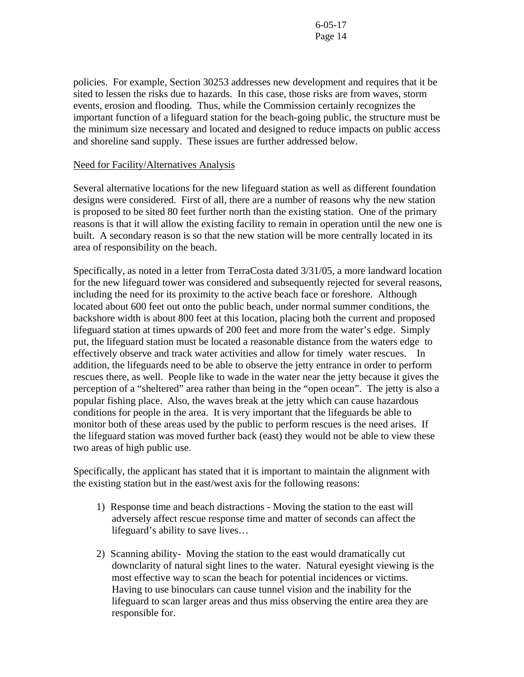policies. For example, Section 30253 addresses new development and requires that it be sited to lessen the risks due to hazards. In this case, those risks are from waves, storm events, erosion and flooding. Thus, while the Commission certainly recognizes the important function of a lifeguard station for the beach-going public, the structure must be the minimum size necessary and located and designed to reduce impacts on public access and shoreline sand supply. These issues are further addressed below.

## Need for Facility/Alternatives Analysis

Several alternative locations for the new lifeguard station as well as different foundation designs were considered. First of all, there are a number of reasons why the new station is proposed to be sited 80 feet further north than the existing station. One of the primary reasons is that it will allow the existing facility to remain in operation until the new one is built. A secondary reason is so that the new station will be more centrally located in its area of responsibility on the beach.

Specifically, as noted in a letter from TerraCosta dated 3/31/05, a more landward location for the new lifeguard tower was considered and subsequently rejected for several reasons, including the need for its proximity to the active beach face or foreshore. Although located about 600 feet out onto the public beach, under normal summer conditions, the backshore width is about 800 feet at this location, placing both the current and proposed lifeguard station at times upwards of 200 feet and more from the water's edge. Simply put, the lifeguard station must be located a reasonable distance from the waters edge to effectively observe and track water activities and allow for timely water rescues. In addition, the lifeguards need to be able to observe the jetty entrance in order to perform rescues there, as well. People like to wade in the water near the jetty because it gives the perception of a "sheltered" area rather than being in the "open ocean". The jetty is also a popular fishing place. Also, the waves break at the jetty which can cause hazardous conditions for people in the area. It is very important that the lifeguards be able to monitor both of these areas used by the public to perform rescues is the need arises. If the lifeguard station was moved further back (east) they would not be able to view these two areas of high public use.

Specifically, the applicant has stated that it is important to maintain the alignment with the existing station but in the east/west axis for the following reasons:

- 1) Response time and beach distractions Moving the station to the east will adversely affect rescue response time and matter of seconds can affect the lifeguard's ability to save lives…
- 2) Scanning ability- Moving the station to the east would dramatically cut downclarity of natural sight lines to the water. Natural eyesight viewing is the most effective way to scan the beach for potential incidences or victims. Having to use binoculars can cause tunnel vision and the inability for the lifeguard to scan larger areas and thus miss observing the entire area they are responsible for.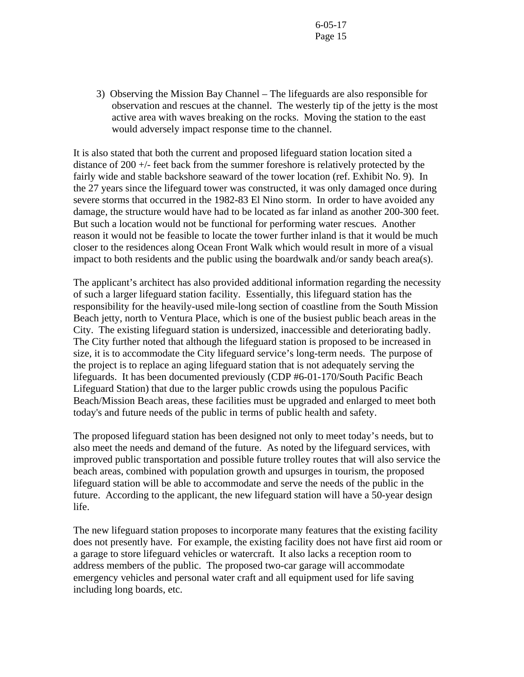3) Observing the Mission Bay Channel – The lifeguards are also responsible for observation and rescues at the channel. The westerly tip of the jetty is the most active area with waves breaking on the rocks. Moving the station to the east would adversely impact response time to the channel.

It is also stated that both the current and proposed lifeguard station location sited a distance of 200 +/- feet back from the summer foreshore is relatively protected by the fairly wide and stable backshore seaward of the tower location (ref. Exhibit No. 9). In the 27 years since the lifeguard tower was constructed, it was only damaged once during severe storms that occurred in the 1982-83 El Nino storm. In order to have avoided any damage, the structure would have had to be located as far inland as another 200-300 feet. But such a location would not be functional for performing water rescues. Another reason it would not be feasible to locate the tower further inland is that it would be much closer to the residences along Ocean Front Walk which would result in more of a visual impact to both residents and the public using the boardwalk and/or sandy beach area(s).

The applicant's architect has also provided additional information regarding the necessity of such a larger lifeguard station facility. Essentially, this lifeguard station has the responsibility for the heavily-used mile-long section of coastline from the South Mission Beach jetty, north to Ventura Place, which is one of the busiest public beach areas in the City. The existing lifeguard station is undersized, inaccessible and deteriorating badly. The City further noted that although the lifeguard station is proposed to be increased in size, it is to accommodate the City lifeguard service's long-term needs. The purpose of the project is to replace an aging lifeguard station that is not adequately serving the lifeguards. It has been documented previously (CDP #6-01-170/South Pacific Beach Lifeguard Station) that due to the larger public crowds using the populous Pacific Beach/Mission Beach areas, these facilities must be upgraded and enlarged to meet both today's and future needs of the public in terms of public health and safety.

The proposed lifeguard station has been designed not only to meet today's needs, but to also meet the needs and demand of the future. As noted by the lifeguard services, with improved public transportation and possible future trolley routes that will also service the beach areas, combined with population growth and upsurges in tourism, the proposed lifeguard station will be able to accommodate and serve the needs of the public in the future. According to the applicant, the new lifeguard station will have a 50-year design life.

The new lifeguard station proposes to incorporate many features that the existing facility does not presently have. For example, the existing facility does not have first aid room or a garage to store lifeguard vehicles or watercraft. It also lacks a reception room to address members of the public. The proposed two-car garage will accommodate emergency vehicles and personal water craft and all equipment used for life saving including long boards, etc.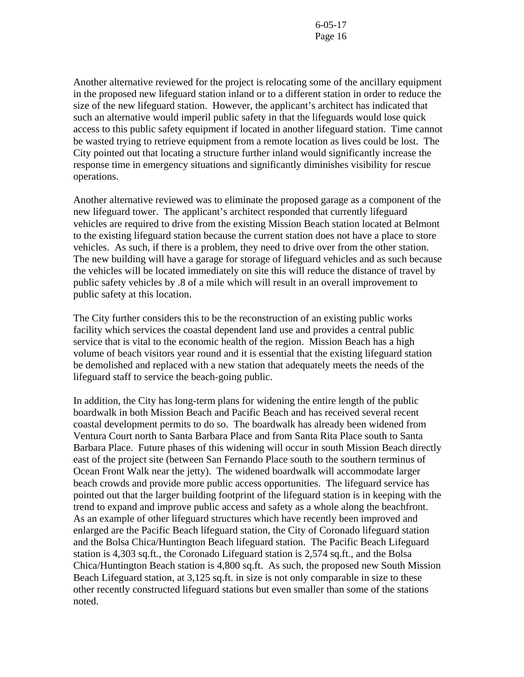Another alternative reviewed for the project is relocating some of the ancillary equipment in the proposed new lifeguard station inland or to a different station in order to reduce the size of the new lifeguard station. However, the applicant's architect has indicated that such an alternative would imperil public safety in that the lifeguards would lose quick access to this public safety equipment if located in another lifeguard station. Time cannot be wasted trying to retrieve equipment from a remote location as lives could be lost. The City pointed out that locating a structure further inland would significantly increase the response time in emergency situations and significantly diminishes visibility for rescue operations.

Another alternative reviewed was to eliminate the proposed garage as a component of the new lifeguard tower. The applicant's architect responded that currently lifeguard vehicles are required to drive from the existing Mission Beach station located at Belmont to the existing lifeguard station because the current station does not have a place to store vehicles. As such, if there is a problem, they need to drive over from the other station. The new building will have a garage for storage of lifeguard vehicles and as such because the vehicles will be located immediately on site this will reduce the distance of travel by public safety vehicles by .8 of a mile which will result in an overall improvement to public safety at this location.

The City further considers this to be the reconstruction of an existing public works facility which services the coastal dependent land use and provides a central public service that is vital to the economic health of the region. Mission Beach has a high volume of beach visitors year round and it is essential that the existing lifeguard station be demolished and replaced with a new station that adequately meets the needs of the lifeguard staff to service the beach-going public.

In addition, the City has long-term plans for widening the entire length of the public boardwalk in both Mission Beach and Pacific Beach and has received several recent coastal development permits to do so. The boardwalk has already been widened from Ventura Court north to Santa Barbara Place and from Santa Rita Place south to Santa Barbara Place. Future phases of this widening will occur in south Mission Beach directly east of the project site (between San Fernando Place south to the southern terminus of Ocean Front Walk near the jetty). The widened boardwalk will accommodate larger beach crowds and provide more public access opportunities. The lifeguard service has pointed out that the larger building footprint of the lifeguard station is in keeping with the trend to expand and improve public access and safety as a whole along the beachfront. As an example of other lifeguard structures which have recently been improved and enlarged are the Pacific Beach lifeguard station, the City of Coronado lifeguard station and the Bolsa Chica/Huntington Beach lifeguard station. The Pacific Beach Lifeguard station is 4,303 sq.ft., the Coronado Lifeguard station is 2,574 sq.ft., and the Bolsa Chica/Huntington Beach station is 4,800 sq.ft. As such, the proposed new South Mission Beach Lifeguard station, at 3,125 sq.ft. in size is not only comparable in size to these other recently constructed lifeguard stations but even smaller than some of the stations noted.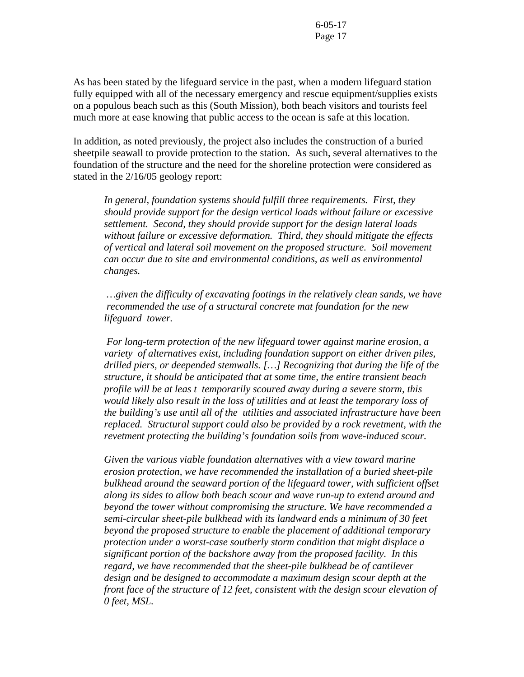As has been stated by the lifeguard service in the past, when a modern lifeguard station fully equipped with all of the necessary emergency and rescue equipment/supplies exists on a populous beach such as this (South Mission), both beach visitors and tourists feel much more at ease knowing that public access to the ocean is safe at this location.

In addition, as noted previously, the project also includes the construction of a buried sheetpile seawall to provide protection to the station. As such, several alternatives to the foundation of the structure and the need for the shoreline protection were considered as stated in the 2/16/05 geology report:

*In general, foundation systems should fulfill three requirements. First, they should provide support for the design vertical loads without failure or excessive settlement. Second, they should provide support for the design lateral loads without failure or excessive deformation. Third, they should mitigate the effects of vertical and lateral soil movement on the proposed structure. Soil movement can occur due to site and environmental conditions, as well as environmental changes.* 

 *…given the difficulty of excavating footings in the relatively clean sands, we have recommended the use of a structural concrete mat foundation for the new lifeguard tower.* 

 *For long-term protection of the new lifeguard tower against marine erosion, a variety of alternatives exist, including foundation support on either driven piles, drilled piers, or deepended stemwalls. […] Recognizing that during the life of the structure, it should be anticipated that at some time, the entire transient beach profile will be at leas t temporarily scoured away during a severe storm, this would likely also result in the loss of utilities and at least the temporary loss of the building's use until all of the utilities and associated infrastructure have been replaced. Structural support could also be provided by a rock revetment, with the revetment protecting the building's foundation soils from wave-induced scour.* 

*Given the various viable foundation alternatives with a view toward marine erosion protection, we have recommended the installation of a buried sheet-pile bulkhead around the seaward portion of the lifeguard tower, with sufficient offset along its sides to allow both beach scour and wave run-up to extend around and beyond the tower without compromising the structure. We have recommended a semi-circular sheet-pile bulkhead with its landward ends a minimum of 30 feet beyond the proposed structure to enable the placement of additional temporary protection under a worst-case southerly storm condition that might displace a significant portion of the backshore away from the proposed facility. In this regard, we have recommended that the sheet-pile bulkhead be of cantilever design and be designed to accommodate a maximum design scour depth at the front face of the structure of 12 feet, consistent with the design scour elevation of 0 feet, MSL.*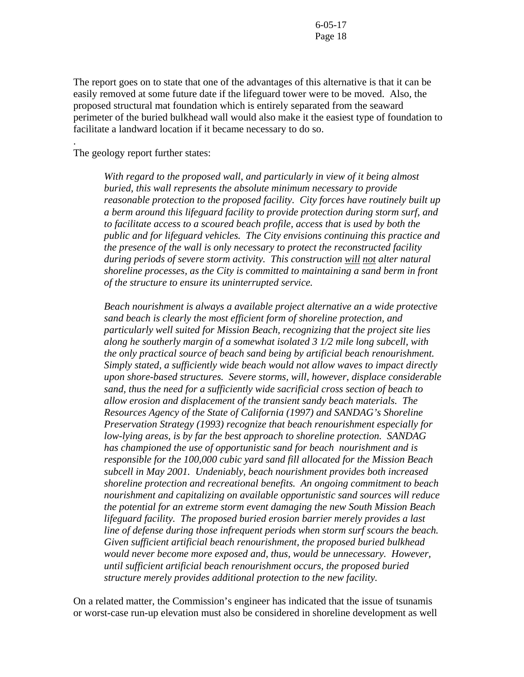The report goes on to state that one of the advantages of this alternative is that it can be easily removed at some future date if the lifeguard tower were to be moved. Also, the proposed structural mat foundation which is entirely separated from the seaward perimeter of the buried bulkhead wall would also make it the easiest type of foundation to facilitate a landward location if it became necessary to do so.

The geology report further states:

.

*With regard to the proposed wall, and particularly in view of it being almost buried, this wall represents the absolute minimum necessary to provide reasonable protection to the proposed facility. City forces have routinely built up a berm around this lifeguard facility to provide protection during storm surf, and to facilitate access to a scoured beach profile, access that is used by both the public and for lifeguard vehicles. The City envisions continuing this practice and the presence of the wall is only necessary to protect the reconstructed facility during periods of severe storm activity. This construction will not alter natural shoreline processes, as the City is committed to maintaining a sand berm in front of the structure to ensure its uninterrupted service.* 

*Beach nourishment is always a available project alternative an a wide protective sand beach is clearly the most efficient form of shoreline protection, and particularly well suited for Mission Beach, recognizing that the project site lies along he southerly margin of a somewhat isolated 3 1/2 mile long subcell, with the only practical source of beach sand being by artificial beach renourishment. Simply stated, a sufficiently wide beach would not allow waves to impact directly upon shore-based structures. Severe storms, will, however, displace considerable sand, thus the need for a sufficiently wide sacrificial cross section of beach to allow erosion and displacement of the transient sandy beach materials. The Resources Agency of the State of California (1997) and SANDAG's Shoreline Preservation Strategy (1993) recognize that beach renourishment especially for low-lying areas, is by far the best approach to shoreline protection. SANDAG has championed the use of opportunistic sand for beach nourishment and is responsible for the 100,000 cubic yard sand fill allocated for the Mission Beach subcell in May 2001. Undeniably, beach nourishment provides both increased shoreline protection and recreational benefits. An ongoing commitment to beach nourishment and capitalizing on available opportunistic sand sources will reduce the potential for an extreme storm event damaging the new South Mission Beach lifeguard facility. The proposed buried erosion barrier merely provides a last line of defense during those infrequent periods when storm surf scours the beach. Given sufficient artificial beach renourishment, the proposed buried bulkhead would never become more exposed and, thus, would be unnecessary. However, until sufficient artificial beach renourishment occurs, the proposed buried structure merely provides additional protection to the new facility.* 

On a related matter, the Commission's engineer has indicated that the issue of tsunamis or worst-case run-up elevation must also be considered in shoreline development as well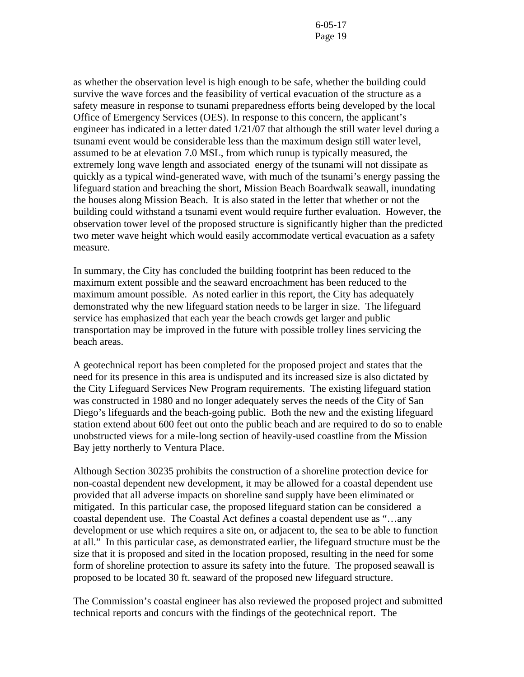as whether the observation level is high enough to be safe, whether the building could survive the wave forces and the feasibility of vertical evacuation of the structure as a safety measure in response to tsunami preparedness efforts being developed by the local Office of Emergency Services (OES). In response to this concern, the applicant's engineer has indicated in a letter dated 1/21/07 that although the still water level during a tsunami event would be considerable less than the maximum design still water level, assumed to be at elevation 7.0 MSL, from which runup is typically measured, the extremely long wave length and associated energy of the tsunami will not dissipate as quickly as a typical wind-generated wave, with much of the tsunami's energy passing the lifeguard station and breaching the short, Mission Beach Boardwalk seawall, inundating the houses along Mission Beach. It is also stated in the letter that whether or not the building could withstand a tsunami event would require further evaluation. However, the observation tower level of the proposed structure is significantly higher than the predicted two meter wave height which would easily accommodate vertical evacuation as a safety measure.

In summary, the City has concluded the building footprint has been reduced to the maximum extent possible and the seaward encroachment has been reduced to the maximum amount possible. As noted earlier in this report, the City has adequately demonstrated why the new lifeguard station needs to be larger in size. The lifeguard service has emphasized that each year the beach crowds get larger and public transportation may be improved in the future with possible trolley lines servicing the beach areas.

A geotechnical report has been completed for the proposed project and states that the need for its presence in this area is undisputed and its increased size is also dictated by the City Lifeguard Services New Program requirements. The existing lifeguard station was constructed in 1980 and no longer adequately serves the needs of the City of San Diego's lifeguards and the beach-going public. Both the new and the existing lifeguard station extend about 600 feet out onto the public beach and are required to do so to enable unobstructed views for a mile-long section of heavily-used coastline from the Mission Bay jetty northerly to Ventura Place.

Although Section 30235 prohibits the construction of a shoreline protection device for non-coastal dependent new development, it may be allowed for a coastal dependent use provided that all adverse impacts on shoreline sand supply have been eliminated or mitigated. In this particular case, the proposed lifeguard station can be considered a coastal dependent use. The Coastal Act defines a coastal dependent use as "…any development or use which requires a site on, or adjacent to, the sea to be able to function at all." In this particular case, as demonstrated earlier, the lifeguard structure must be the size that it is proposed and sited in the location proposed, resulting in the need for some form of shoreline protection to assure its safety into the future. The proposed seawall is proposed to be located 30 ft. seaward of the proposed new lifeguard structure.

The Commission's coastal engineer has also reviewed the proposed project and submitted technical reports and concurs with the findings of the geotechnical report. The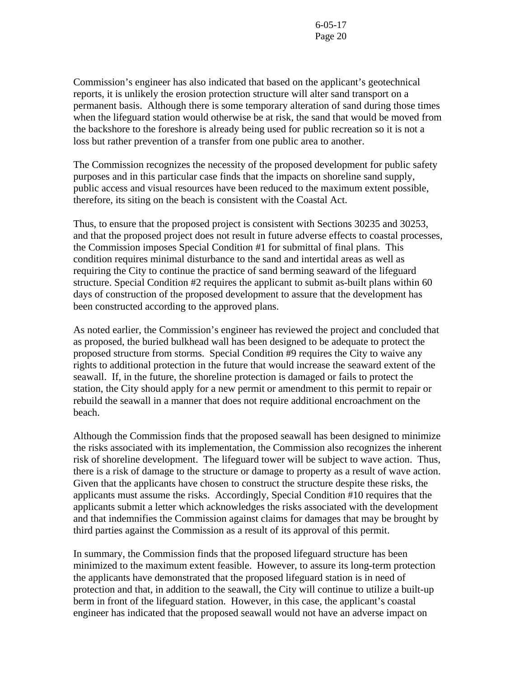Commission's engineer has also indicated that based on the applicant's geotechnical reports, it is unlikely the erosion protection structure will alter sand transport on a permanent basis. Although there is some temporary alteration of sand during those times when the lifeguard station would otherwise be at risk, the sand that would be moved from the backshore to the foreshore is already being used for public recreation so it is not a loss but rather prevention of a transfer from one public area to another.

The Commission recognizes the necessity of the proposed development for public safety purposes and in this particular case finds that the impacts on shoreline sand supply, public access and visual resources have been reduced to the maximum extent possible, therefore, its siting on the beach is consistent with the Coastal Act.

Thus, to ensure that the proposed project is consistent with Sections 30235 and 30253, and that the proposed project does not result in future adverse effects to coastal processes, the Commission imposes Special Condition #1 for submittal of final plans. This condition requires minimal disturbance to the sand and intertidal areas as well as requiring the City to continue the practice of sand berming seaward of the lifeguard structure. Special Condition #2 requires the applicant to submit as-built plans within 60 days of construction of the proposed development to assure that the development has been constructed according to the approved plans.

As noted earlier, the Commission's engineer has reviewed the project and concluded that as proposed, the buried bulkhead wall has been designed to be adequate to protect the proposed structure from storms. Special Condition #9 requires the City to waive any rights to additional protection in the future that would increase the seaward extent of the seawall. If, in the future, the shoreline protection is damaged or fails to protect the station, the City should apply for a new permit or amendment to this permit to repair or rebuild the seawall in a manner that does not require additional encroachment on the beach.

Although the Commission finds that the proposed seawall has been designed to minimize the risks associated with its implementation, the Commission also recognizes the inherent risk of shoreline development. The lifeguard tower will be subject to wave action. Thus, there is a risk of damage to the structure or damage to property as a result of wave action. Given that the applicants have chosen to construct the structure despite these risks, the applicants must assume the risks. Accordingly, Special Condition #10 requires that the applicants submit a letter which acknowledges the risks associated with the development and that indemnifies the Commission against claims for damages that may be brought by third parties against the Commission as a result of its approval of this permit.

In summary, the Commission finds that the proposed lifeguard structure has been minimized to the maximum extent feasible. However, to assure its long-term protection the applicants have demonstrated that the proposed lifeguard station is in need of protection and that, in addition to the seawall, the City will continue to utilize a built-up berm in front of the lifeguard station. However, in this case, the applicant's coastal engineer has indicated that the proposed seawall would not have an adverse impact on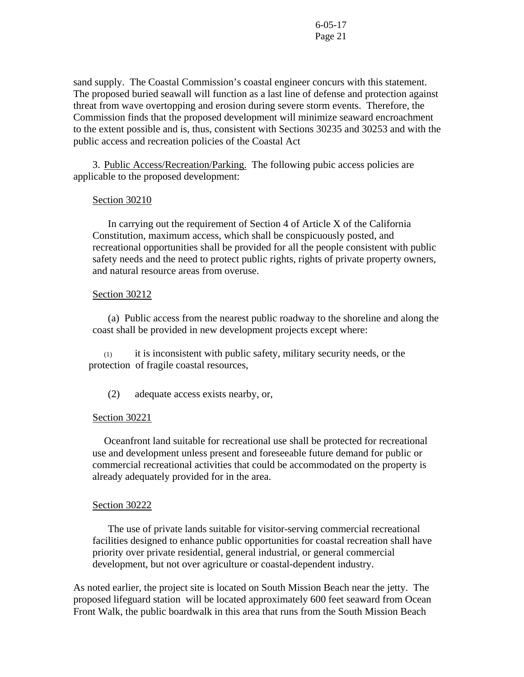sand supply. The Coastal Commission's coastal engineer concurs with this statement. The proposed buried seawall will function as a last line of defense and protection against threat from wave overtopping and erosion during severe storm events. Therefore, the Commission finds that the proposed development will minimize seaward encroachment to the extent possible and is, thus, consistent with Sections 30235 and 30253 and with the public access and recreation policies of the Coastal Act

3. Public Access/Recreation/Parking. The following pubic access policies are applicable to the proposed development:

#### Section 30210

 In carrying out the requirement of Section 4 of Article X of the California Constitution, maximum access, which shall be conspicuously posted, and recreational opportunities shall be provided for all the people consistent with public safety needs and the need to protect public rights, rights of private property owners, and natural resource areas from overuse.

#### Section 30212

 (a) Public access from the nearest public roadway to the shoreline and along the coast shall be provided in new development projects except where:

 (1) it is inconsistent with public safety, military security needs, or the protection of fragile coastal resources,

(2) adequate access exists nearby, or,

#### Section 30221

 Oceanfront land suitable for recreational use shall be protected for recreational use and development unless present and foreseeable future demand for public or commercial recreational activities that could be accommodated on the property is already adequately provided for in the area.

#### Section 30222

 The use of private lands suitable for visitor-serving commercial recreational facilities designed to enhance public opportunities for coastal recreation shall have priority over private residential, general industrial, or general commercial development, but not over agriculture or coastal-dependent industry.

As noted earlier, the project site is located on South Mission Beach near the jetty. The proposed lifeguard station will be located approximately 600 feet seaward from Ocean Front Walk, the public boardwalk in this area that runs from the South Mission Beach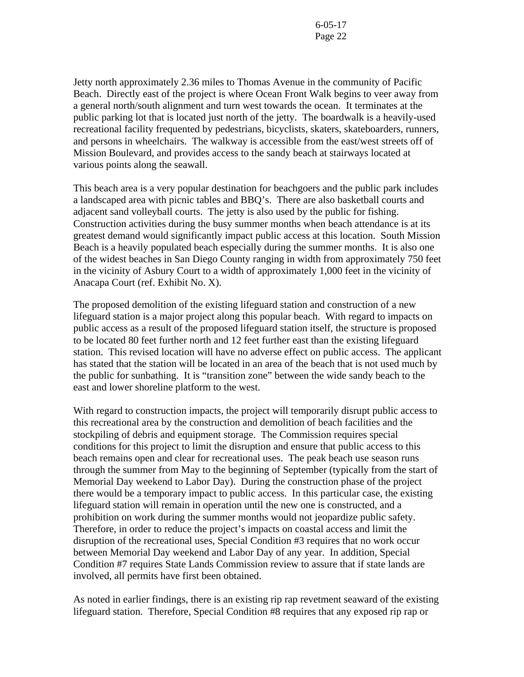Jetty north approximately 2.36 miles to Thomas Avenue in the community of Pacific Beach. Directly east of the project is where Ocean Front Walk begins to veer away from a general north/south alignment and turn west towards the ocean. It terminates at the public parking lot that is located just north of the jetty. The boardwalk is a heavily-used recreational facility frequented by pedestrians, bicyclists, skaters, skateboarders, runners, and persons in wheelchairs. The walkway is accessible from the east/west streets off of Mission Boulevard, and provides access to the sandy beach at stairways located at various points along the seawall.

This beach area is a very popular destination for beachgoers and the public park includes a landscaped area with picnic tables and BBQ's. There are also basketball courts and adjacent sand volleyball courts. The jetty is also used by the public for fishing. Construction activities during the busy summer months when beach attendance is at its greatest demand would significantly impact public access at this location. South Mission Beach is a heavily populated beach especially during the summer months. It is also one of the widest beaches in San Diego County ranging in width from approximately 750 feet in the vicinity of Asbury Court to a width of approximately 1,000 feet in the vicinity of Anacapa Court (ref. Exhibit No. X).

The proposed demolition of the existing lifeguard station and construction of a new lifeguard station is a major project along this popular beach. With regard to impacts on public access as a result of the proposed lifeguard station itself, the structure is proposed to be located 80 feet further north and 12 feet further east than the existing lifeguard station. This revised location will have no adverse effect on public access. The applicant has stated that the station will be located in an area of the beach that is not used much by the public for sunbathing. It is "transition zone" between the wide sandy beach to the east and lower shoreline platform to the west.

With regard to construction impacts, the project will temporarily disrupt public access to this recreational area by the construction and demolition of beach facilities and the stockpiling of debris and equipment storage. The Commission requires special conditions for this project to limit the disruption and ensure that public access to this beach remains open and clear for recreational uses. The peak beach use season runs through the summer from May to the beginning of September (typically from the start of Memorial Day weekend to Labor Day). During the construction phase of the project there would be a temporary impact to public access. In this particular case, the existing lifeguard station will remain in operation until the new one is constructed, and a prohibition on work during the summer months would not jeopardize public safety. Therefore, in order to reduce the project's impacts on coastal access and limit the disruption of the recreational uses, Special Condition #3 requires that no work occur between Memorial Day weekend and Labor Day of any year. In addition, Special Condition #7 requires State Lands Commission review to assure that if state lands are involved, all permits have first been obtained.

As noted in earlier findings, there is an existing rip rap revetment seaward of the existing lifeguard station. Therefore, Special Condition #8 requires that any exposed rip rap or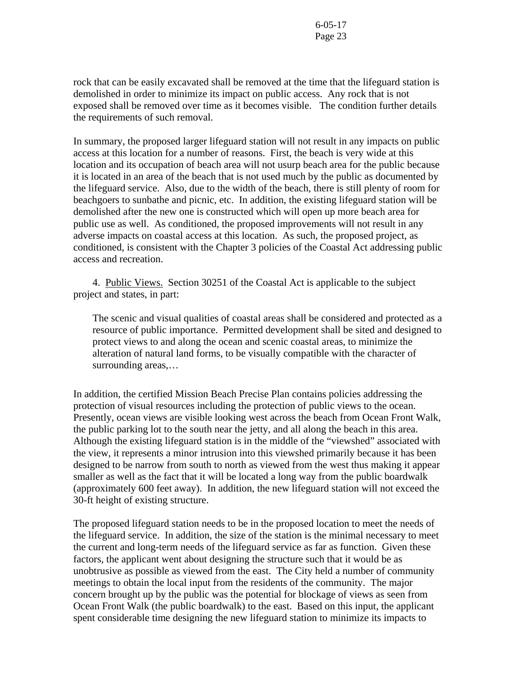rock that can be easily excavated shall be removed at the time that the lifeguard station is demolished in order to minimize its impact on public access. Any rock that is not exposed shall be removed over time as it becomes visible. The condition further details the requirements of such removal.

In summary, the proposed larger lifeguard station will not result in any impacts on public access at this location for a number of reasons. First, the beach is very wide at this location and its occupation of beach area will not usurp beach area for the public because it is located in an area of the beach that is not used much by the public as documented by the lifeguard service. Also, due to the width of the beach, there is still plenty of room for beachgoers to sunbathe and picnic, etc. In addition, the existing lifeguard station will be demolished after the new one is constructed which will open up more beach area for public use as well. As conditioned, the proposed improvements will not result in any adverse impacts on coastal access at this location. As such, the proposed project, as conditioned, is consistent with the Chapter 3 policies of the Coastal Act addressing public access and recreation.

4. Public Views. Section 30251 of the Coastal Act is applicable to the subject project and states, in part:

The scenic and visual qualities of coastal areas shall be considered and protected as a resource of public importance. Permitted development shall be sited and designed to protect views to and along the ocean and scenic coastal areas, to minimize the alteration of natural land forms, to be visually compatible with the character of surrounding areas,…

In addition, the certified Mission Beach Precise Plan contains policies addressing the protection of visual resources including the protection of public views to the ocean. Presently, ocean views are visible looking west across the beach from Ocean Front Walk, the public parking lot to the south near the jetty, and all along the beach in this area. Although the existing lifeguard station is in the middle of the "viewshed" associated with the view, it represents a minor intrusion into this viewshed primarily because it has been designed to be narrow from south to north as viewed from the west thus making it appear smaller as well as the fact that it will be located a long way from the public boardwalk (approximately 600 feet away). In addition, the new lifeguard station will not exceed the 30-ft height of existing structure.

The proposed lifeguard station needs to be in the proposed location to meet the needs of the lifeguard service. In addition, the size of the station is the minimal necessary to meet the current and long-term needs of the lifeguard service as far as function. Given these factors, the applicant went about designing the structure such that it would be as unobtrusive as possible as viewed from the east. The City held a number of community meetings to obtain the local input from the residents of the community. The major concern brought up by the public was the potential for blockage of views as seen from Ocean Front Walk (the public boardwalk) to the east. Based on this input, the applicant spent considerable time designing the new lifeguard station to minimize its impacts to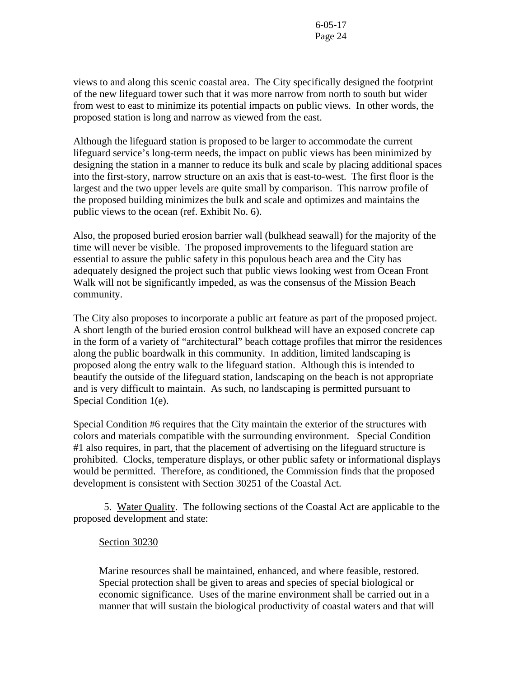views to and along this scenic coastal area. The City specifically designed the footprint of the new lifeguard tower such that it was more narrow from north to south but wider from west to east to minimize its potential impacts on public views. In other words, the proposed station is long and narrow as viewed from the east.

Although the lifeguard station is proposed to be larger to accommodate the current lifeguard service's long-term needs, the impact on public views has been minimized by designing the station in a manner to reduce its bulk and scale by placing additional spaces into the first-story, narrow structure on an axis that is east-to-west. The first floor is the largest and the two upper levels are quite small by comparison. This narrow profile of the proposed building minimizes the bulk and scale and optimizes and maintains the public views to the ocean (ref. Exhibit No. 6).

Also, the proposed buried erosion barrier wall (bulkhead seawall) for the majority of the time will never be visible. The proposed improvements to the lifeguard station are essential to assure the public safety in this populous beach area and the City has adequately designed the project such that public views looking west from Ocean Front Walk will not be significantly impeded, as was the consensus of the Mission Beach community.

The City also proposes to incorporate a public art feature as part of the proposed project. A short length of the buried erosion control bulkhead will have an exposed concrete cap in the form of a variety of "architectural" beach cottage profiles that mirror the residences along the public boardwalk in this community. In addition, limited landscaping is proposed along the entry walk to the lifeguard station. Although this is intended to beautify the outside of the lifeguard station, landscaping on the beach is not appropriate and is very difficult to maintain. As such, no landscaping is permitted pursuant to Special Condition 1(e).

Special Condition #6 requires that the City maintain the exterior of the structures with colors and materials compatible with the surrounding environment. Special Condition #1 also requires, in part, that the placement of advertising on the lifeguard structure is prohibited. Clocks, temperature displays, or other public safety or informational displays would be permitted. Therefore, as conditioned, the Commission finds that the proposed development is consistent with Section 30251 of the Coastal Act.

5. Water Quality. The following sections of the Coastal Act are applicable to the proposed development and state:

## Section 30230

 Marine resources shall be maintained, enhanced, and where feasible, restored. Special protection shall be given to areas and species of special biological or economic significance. Uses of the marine environment shall be carried out in a manner that will sustain the biological productivity of coastal waters and that will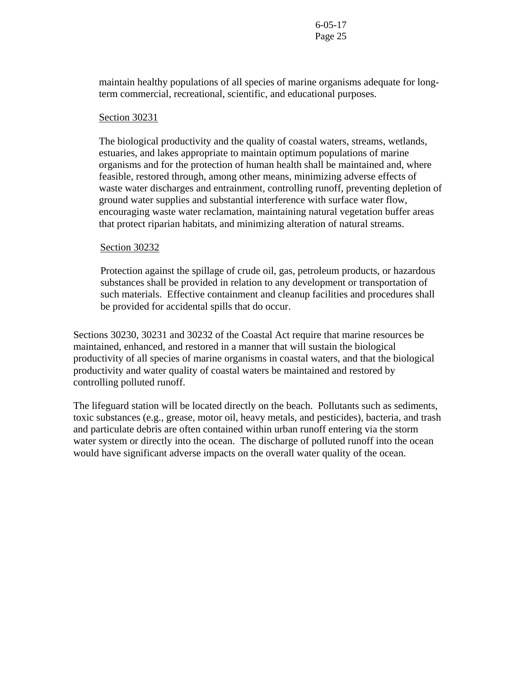maintain healthy populations of all species of marine organisms adequate for longterm commercial, recreational, scientific, and educational purposes.

#### Section 30231

 The biological productivity and the quality of coastal waters, streams, wetlands, estuaries, and lakes appropriate to maintain optimum populations of marine organisms and for the protection of human health shall be maintained and, where feasible, restored through, among other means, minimizing adverse effects of waste water discharges and entrainment, controlling runoff, preventing depletion of ground water supplies and substantial interference with surface water flow, encouraging waste water reclamation, maintaining natural vegetation buffer areas that protect riparian habitats, and minimizing alteration of natural streams.

#### Section 30232

Protection against the spillage of crude oil, gas, petroleum products, or hazardous substances shall be provided in relation to any development or transportation of such materials. Effective containment and cleanup facilities and procedures shall be provided for accidental spills that do occur.

Sections 30230, 30231 and 30232 of the Coastal Act require that marine resources be maintained, enhanced, and restored in a manner that will sustain the biological productivity of all species of marine organisms in coastal waters, and that the biological productivity and water quality of coastal waters be maintained and restored by controlling polluted runoff.

The lifeguard station will be located directly on the beach. Pollutants such as sediments, toxic substances (e.g., grease, motor oil, heavy metals, and pesticides), bacteria, and trash and particulate debris are often contained within urban runoff entering via the storm water system or directly into the ocean. The discharge of polluted runoff into the ocean would have significant adverse impacts on the overall water quality of the ocean.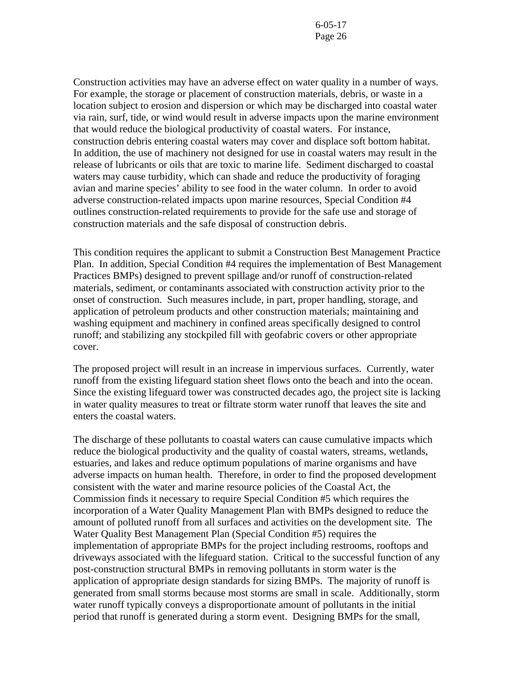Construction activities may have an adverse effect on water quality in a number of ways. For example, the storage or placement of construction materials, debris, or waste in a location subject to erosion and dispersion or which may be discharged into coastal water via rain, surf, tide, or wind would result in adverse impacts upon the marine environment that would reduce the biological productivity of coastal waters. For instance, construction debris entering coastal waters may cover and displace soft bottom habitat. In addition, the use of machinery not designed for use in coastal waters may result in the release of lubricants or oils that are toxic to marine life. Sediment discharged to coastal waters may cause turbidity, which can shade and reduce the productivity of foraging avian and marine species' ability to see food in the water column. In order to avoid adverse construction-related impacts upon marine resources, Special Condition #4 outlines construction-related requirements to provide for the safe use and storage of construction materials and the safe disposal of construction debris.

This condition requires the applicant to submit a Construction Best Management Practice Plan. In addition, Special Condition #4 requires the implementation of Best Management Practices BMPs) designed to prevent spillage and/or runoff of construction-related materials, sediment, or contaminants associated with construction activity prior to the onset of construction. Such measures include, in part, proper handling, storage, and application of petroleum products and other construction materials; maintaining and washing equipment and machinery in confined areas specifically designed to control runoff; and stabilizing any stockpiled fill with geofabric covers or other appropriate cover.

The proposed project will result in an increase in impervious surfaces. Currently, water runoff from the existing lifeguard station sheet flows onto the beach and into the ocean. Since the existing lifeguard tower was constructed decades ago, the project site is lacking in water quality measures to treat or filtrate storm water runoff that leaves the site and enters the coastal waters.

The discharge of these pollutants to coastal waters can cause cumulative impacts which reduce the biological productivity and the quality of coastal waters, streams, wetlands, estuaries, and lakes and reduce optimum populations of marine organisms and have adverse impacts on human health. Therefore, in order to find the proposed development consistent with the water and marine resource policies of the Coastal Act, the Commission finds it necessary to require Special Condition #5 which requires the incorporation of a Water Quality Management Plan with BMPs designed to reduce the amount of polluted runoff from all surfaces and activities on the development site. The Water Quality Best Management Plan (Special Condition #5) requires the implementation of appropriate BMPs for the project including restrooms, rooftops and driveways associated with the lifeguard station. Critical to the successful function of any post-construction structural BMPs in removing pollutants in storm water is the application of appropriate design standards for sizing BMPs. The majority of runoff is generated from small storms because most storms are small in scale. Additionally, storm water runoff typically conveys a disproportionate amount of pollutants in the initial period that runoff is generated during a storm event. Designing BMPs for the small,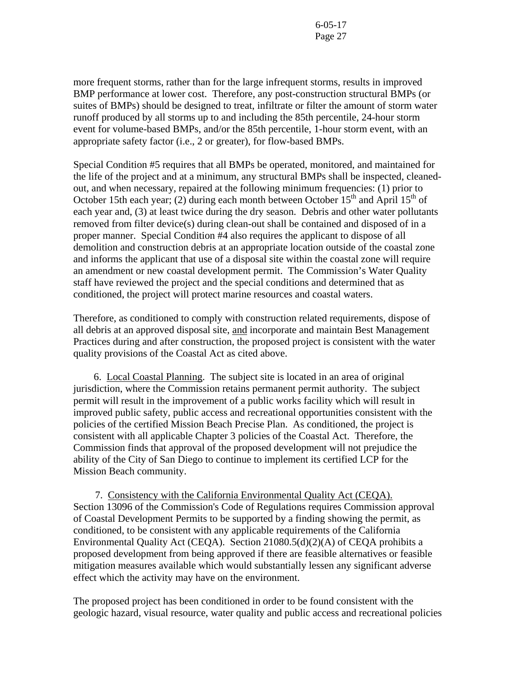more frequent storms, rather than for the large infrequent storms, results in improved BMP performance at lower cost. Therefore, any post-construction structural BMPs (or suites of BMPs) should be designed to treat, infiltrate or filter the amount of storm water runoff produced by all storms up to and including the 85th percentile, 24-hour storm event for volume-based BMPs, and/or the 85th percentile, 1-hour storm event, with an appropriate safety factor (i.e., 2 or greater), for flow-based BMPs.

Special Condition #5 requires that all BMPs be operated, monitored, and maintained for the life of the project and at a minimum, any structural BMPs shall be inspected, cleanedout, and when necessary, repaired at the following minimum frequencies: (1) prior to October 15th each year; (2) during each month between October  $15<sup>th</sup>$  and April  $15<sup>th</sup>$  of each year and, (3) at least twice during the dry season. Debris and other water pollutants removed from filter device(s) during clean-out shall be contained and disposed of in a proper manner. Special Condition #4 also requires the applicant to dispose of all demolition and construction debris at an appropriate location outside of the coastal zone and informs the applicant that use of a disposal site within the coastal zone will require an amendment or new coastal development permit. The Commission's Water Quality staff have reviewed the project and the special conditions and determined that as conditioned, the project will protect marine resources and coastal waters.

Therefore, as conditioned to comply with construction related requirements, dispose of all debris at an approved disposal site, and incorporate and maintain Best Management Practices during and after construction, the proposed project is consistent with the water quality provisions of the Coastal Act as cited above.

 6. Local Coastal Planning. The subject site is located in an area of original jurisdiction, where the Commission retains permanent permit authority. The subject permit will result in the improvement of a public works facility which will result in improved public safety, public access and recreational opportunities consistent with the policies of the certified Mission Beach Precise Plan. As conditioned, the project is consistent with all applicable Chapter 3 policies of the Coastal Act. Therefore, the Commission finds that approval of the proposed development will not prejudice the ability of the City of San Diego to continue to implement its certified LCP for the Mission Beach community.

 7. Consistency with the California Environmental Quality Act (CEQA). Section 13096 of the Commission's Code of Regulations requires Commission approval of Coastal Development Permits to be supported by a finding showing the permit, as conditioned, to be consistent with any applicable requirements of the California Environmental Quality Act (CEQA). Section 21080.5(d)(2)(A) of CEQA prohibits a proposed development from being approved if there are feasible alternatives or feasible mitigation measures available which would substantially lessen any significant adverse effect which the activity may have on the environment.

The proposed project has been conditioned in order to be found consistent with the geologic hazard, visual resource, water quality and public access and recreational policies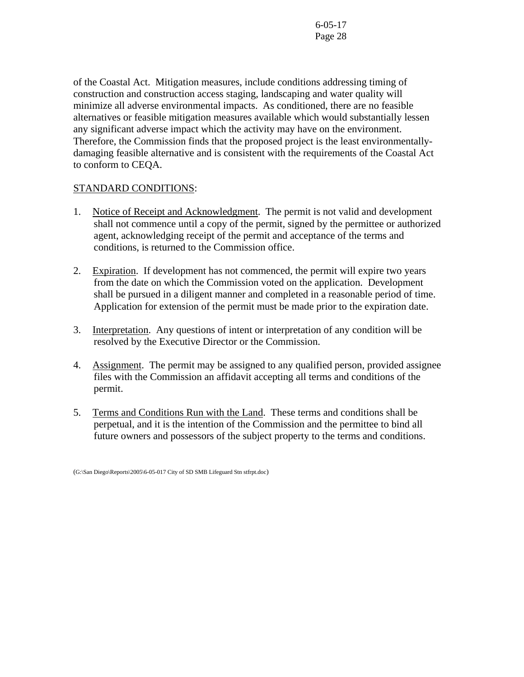of the Coastal Act. Mitigation measures, include conditions addressing timing of construction and construction access staging, landscaping and water quality will minimize all adverse environmental impacts. As conditioned, there are no feasible alternatives or feasible mitigation measures available which would substantially lessen any significant adverse impact which the activity may have on the environment. Therefore, the Commission finds that the proposed project is the least environmentallydamaging feasible alternative and is consistent with the requirements of the Coastal Act to conform to CEQA.

# STANDARD CONDITIONS:

- 1. Notice of Receipt and Acknowledgment. The permit is not valid and development shall not commence until a copy of the permit, signed by the permittee or authorized agent, acknowledging receipt of the permit and acceptance of the terms and conditions, is returned to the Commission office.
- 2. Expiration. If development has not commenced, the permit will expire two years from the date on which the Commission voted on the application. Development shall be pursued in a diligent manner and completed in a reasonable period of time. Application for extension of the permit must be made prior to the expiration date.
- 3. Interpretation. Any questions of intent or interpretation of any condition will be resolved by the Executive Director or the Commission.
- 4. Assignment. The permit may be assigned to any qualified person, provided assignee files with the Commission an affidavit accepting all terms and conditions of the permit.
- 5. Terms and Conditions Run with the Land. These terms and conditions shall be perpetual, and it is the intention of the Commission and the permittee to bind all future owners and possessors of the subject property to the terms and conditions.

<sup>(</sup>G:\San Diego\Reports\2005\6-05-017 City of SD SMB Lifeguard Stn stfrpt.doc)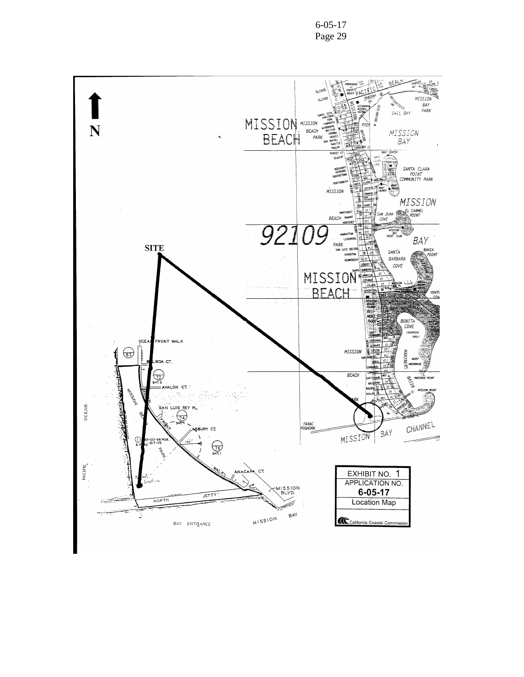

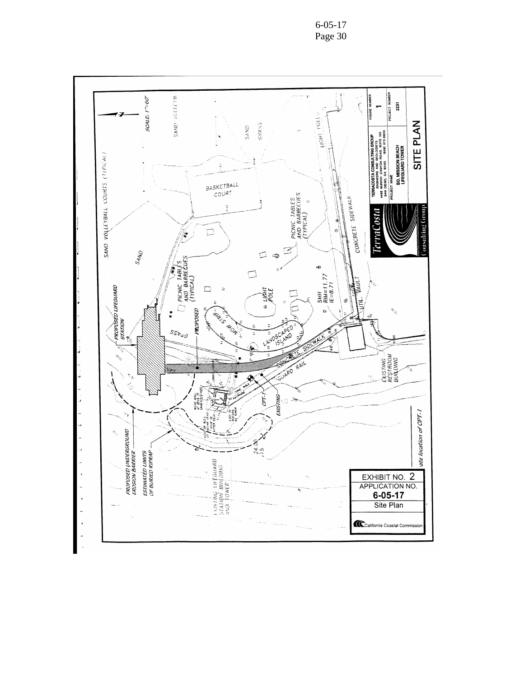6-05-17 Page 30

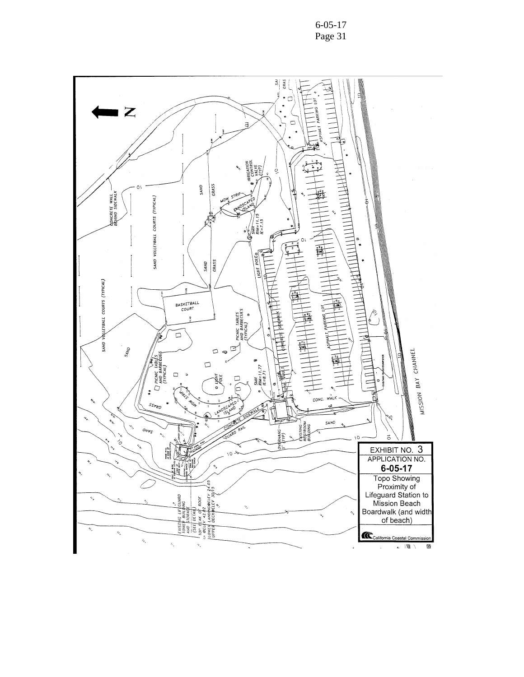

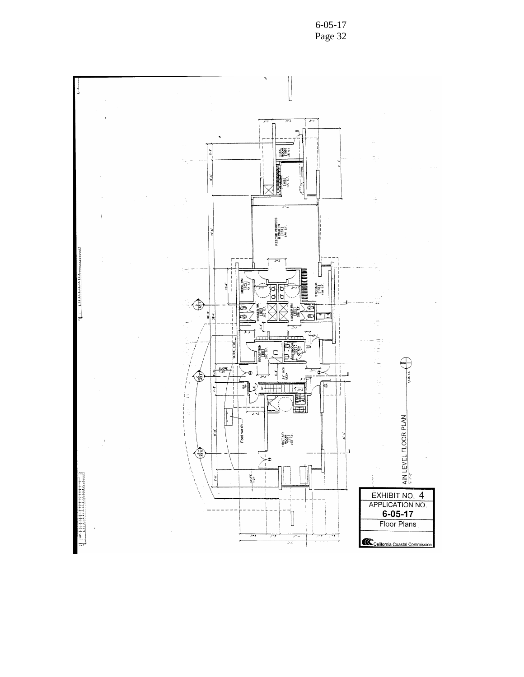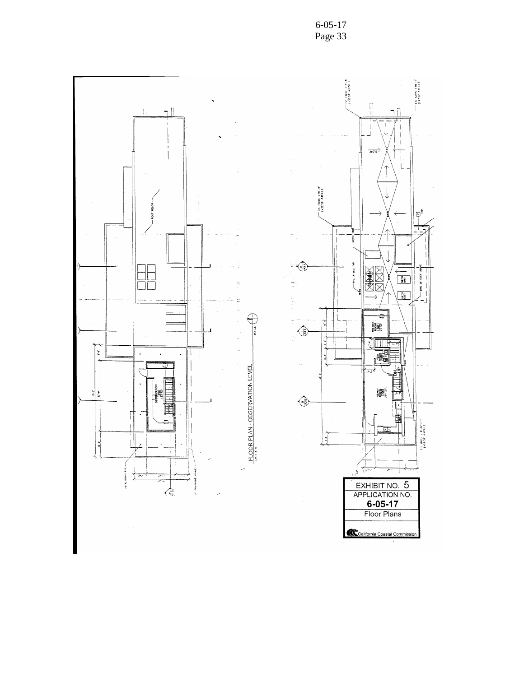6-05-17 Page 33

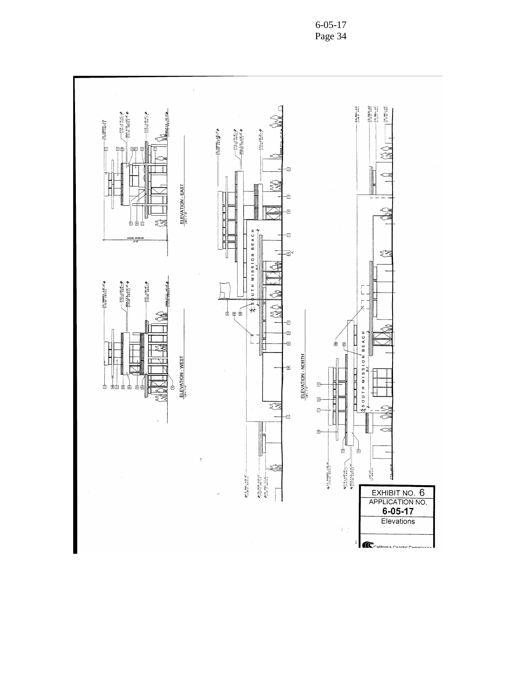

6-05-17 Page 34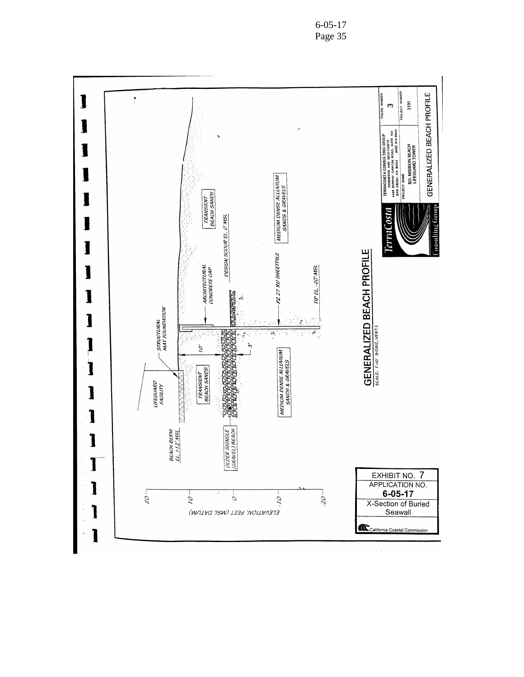6-05-17 Page 35

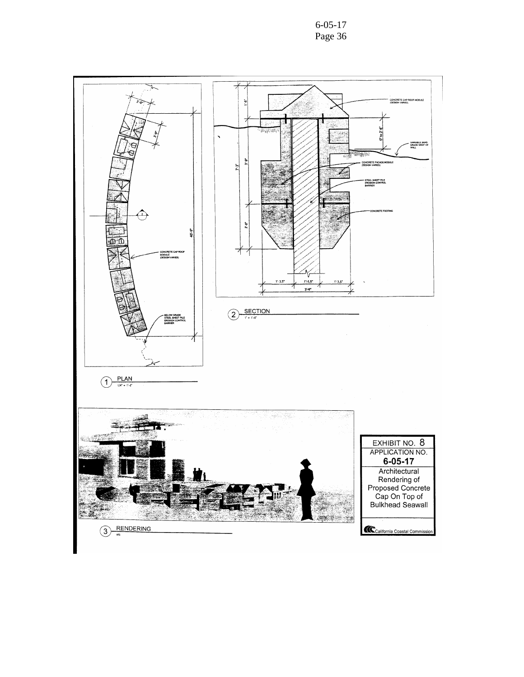